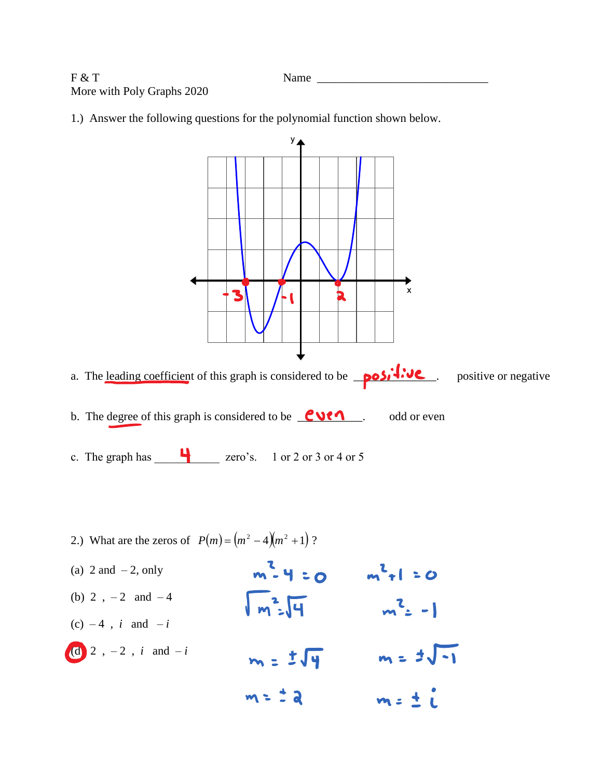F & T Name \_\_\_\_\_\_\_\_\_\_\_\_\_\_\_\_\_\_\_\_\_\_\_\_\_\_\_\_\_ More with Poly Graphs 2020

1.) Answer the following questions for the polynomial function shown below.

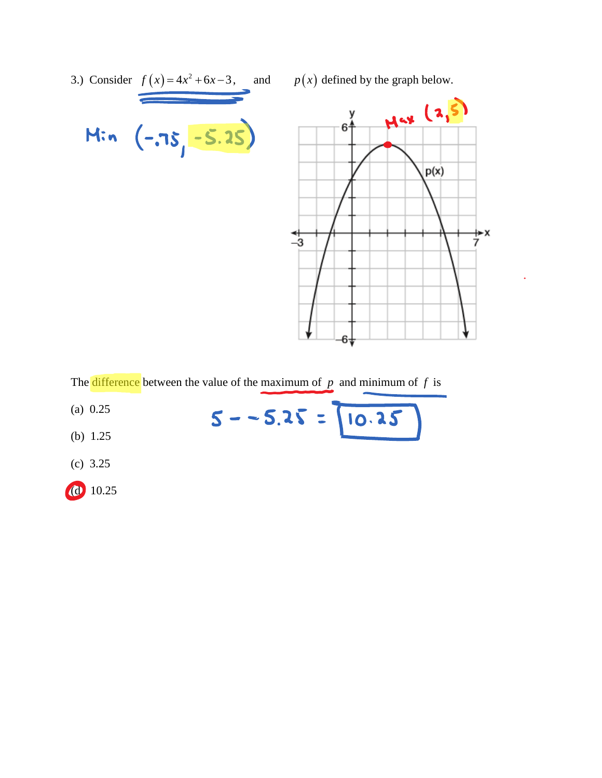

The difference between the value of the maximum of  $p$  and minimum of  $f$  is

 $5 - -5.25 = 10.25$ 

- (a) 0.25
- (b) 1.25
- (c) 3.25
- (d) 10.25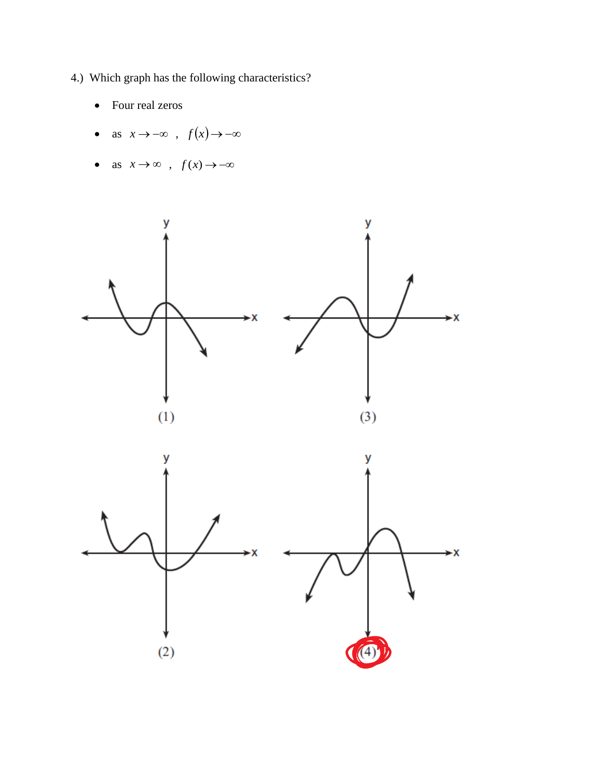- 4.) Which graph has the following characteristics?
	- Four real zeros  $\bullet$
	- as  $x \to -\infty$ ,  $f(x) \to -\infty$
	- as  $x \to \infty$ ,  $f(x) \to -\infty$